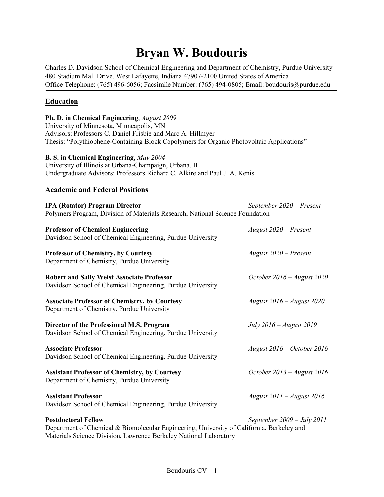# **Bryan W. Boudouris**

Charles D. Davidson School of Chemical Engineering and Department of Chemistry, Purdue University 480 Stadium Mall Drive, West Lafayette, Indiana 47907-2100 United States of America Office Telephone: (765) 496-6056; Facsimile Number: (765) 494-0805; Email: boudouris@purdue.edu

# **Education**

**Ph. D. in Chemical Engineering**, *August 2009* University of Minnesota, Minneapolis, MN Advisors: Professors C. Daniel Frisbie and Marc A. Hillmyer Thesis: "Polythiophene-Containing Block Copolymers for Organic Photovoltaic Applications" **B. S. in Chemical Engineering**, *May 2004* University of Illinois at Urbana-Champaign, Urbana, IL Undergraduate Advisors: Professors Richard C. Alkire and Paul J. A. Kenis **Academic and Federal Positions IPA (Rotator) Program Director** *September 2020 – Present* Polymers Program, Division of Materials Research, National Science Foundation **Professor of Chemical Engineering** *August 2020 – Present* Davidson School of Chemical Engineering, Purdue University **Professor of Chemistry, by Courtesy** *August 2020 – Present* Department of Chemistry, Purdue University **Robert and Sally Weist Associate Professor** *October 2016 – August 2020* Davidson School of Chemical Engineering, Purdue University **Associate Professor of Chemistry, by Courtesy** *August 2016 – August 2020* Department of Chemistry, Purdue University **Director of the Professional M.S. Program** *July 2016 – August 2019* Davidson School of Chemical Engineering, Purdue University **Associate Professor** *August 2016 – October 2016* Davidson School of Chemical Engineering, Purdue University **Assistant Professor of Chemistry, by Courtesy** *October 2013 – August 2016* Department of Chemistry, Purdue University **Assistant Professor** *August 2011 – August 2016* Davidson School of Chemical Engineering, Purdue University **Postdoctoral Fellow** *September 2009 – July 2011* Department of Chemical & Biomolecular Engineering, University of California, Berkeley and Materials Science Division, Lawrence Berkeley National Laboratory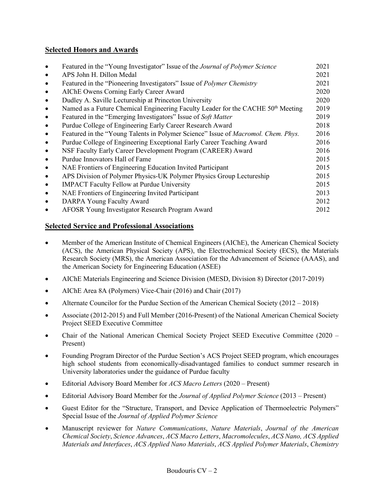# **Selected Honors and Awards**

|           | Featured in the "Young Investigator" Issue of the <i>Journal of Polymer Science</i>          | 2021 |
|-----------|----------------------------------------------------------------------------------------------|------|
| $\bullet$ | APS John H. Dillon Medal                                                                     | 2021 |
| $\bullet$ | Featured in the "Pioneering Investigators" Issue of <i>Polymer Chemistry</i>                 | 2021 |
| $\bullet$ | AIChE Owens Corning Early Career Award                                                       | 2020 |
| $\bullet$ | Dudley A. Saville Lectureship at Princeton University                                        | 2020 |
| $\bullet$ | Named as a Future Chemical Engineering Faculty Leader for the CACHE 50 <sup>th</sup> Meeting | 2019 |
| $\bullet$ | Featured in the "Emerging Investigators" Issue of Soft Matter                                | 2019 |
| $\bullet$ | Purdue College of Engineering Early Career Research Award                                    | 2018 |
| $\bullet$ | Featured in the "Young Talents in Polymer Science" Issue of Macromol. Chem. Phys.            | 2016 |
| $\bullet$ | Purdue College of Engineering Exceptional Early Career Teaching Award                        | 2016 |
| $\bullet$ | NSF Faculty Early Career Development Program (CAREER) Award                                  | 2016 |
| $\bullet$ | Purdue Innovators Hall of Fame                                                               | 2015 |
| $\bullet$ | NAE Frontiers of Engineering Education Invited Participant                                   | 2015 |
| $\bullet$ | APS Division of Polymer Physics-UK Polymer Physics Group Lectureship                         | 2015 |
| $\bullet$ | <b>IMPACT</b> Faculty Fellow at Purdue University                                            | 2015 |
| $\bullet$ | NAE Frontiers of Engineering Invited Participant                                             | 2013 |
| $\bullet$ | DARPA Young Faculty Award                                                                    | 2012 |
|           | AFOSR Young Investigator Research Program Award                                              | 2012 |
|           |                                                                                              |      |

## **Selected Service and Professional Associations**

- Member of the American Institute of Chemical Engineers (AIChE), the American Chemical Society (ACS), the American Physical Society (APS), the Electrochemical Society (ECS), the Materials Research Society (MRS), the American Association for the Advancement of Science (AAAS), and the American Society for Engineering Education (ASEE)
- AIChE Materials Engineering and Science Division (MESD, Division 8) Director (2017-2019)
- AIChE Area 8A (Polymers) Vice-Chair (2016) and Chair (2017)
- Alternate Councilor for the Purdue Section of the American Chemical Society (2012 2018)
- Associate (2012-2015) and Full Member (2016-Present) of the National American Chemical Society Project SEED Executive Committee
- Chair of the National American Chemical Society Project SEED Executive Committee (2020 Present)
- Founding Program Director of the Purdue Section's ACS Project SEED program, which encourages high school students from economically-disadvantaged families to conduct summer research in University laboratories under the guidance of Purdue faculty
- Editorial Advisory Board Member for *ACS Macro Letters* (2020 Present)
- Editorial Advisory Board Member for the *Journal of Applied Polymer Science* (2013 Present)
- Guest Editor for the "Structure, Transport, and Device Application of Thermoelectric Polymers" Special Issue of the *Journal of Applied Polymer Science*
- Manuscript reviewer for *Nature Communications*, *Nature Materials*, *Journal of the American Chemical Society*, *Science Advances*, *ACS Macro Letters*, *Macromolecules*, *ACS Nano, ACS Applied Materials and Interfaces*, *ACS Applied Nano Materials*, *ACS Applied Polymer Materials*, *Chemistry*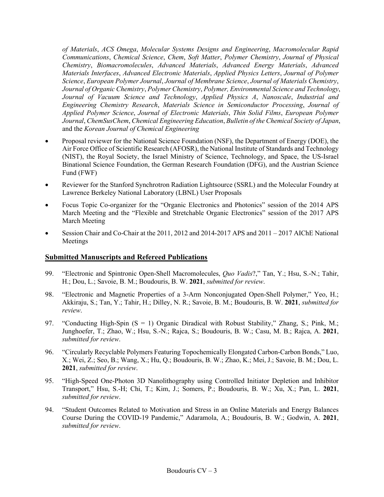*of Materials*, *ACS Omega*, *Molecular Systems Designs and Engineering*, *Macromolecular Rapid Communications*, *Chemical Science*, *Chem*, *Soft Matter*, *Polymer Chemistry*, *Journal of Physical Chemistry*, *Biomacromolecules*, *Advanced Materials*, *Advanced Energy Materials*, *Advanced Materials Interfaces*, *Advanced Electronic Materials*, *Applied Physics Letters*, *Journal of Polymer Science*, *European Polymer Journal*, *Journal of Membrane Science*, *Journal of Materials Chemistry*, *Journal of Organic Chemistry*, *Polymer Chemistry*, *Polymer, Environmental Science and Technology*, *Journal of Vacuum Science and Technology*, *Applied Physics A*, *Nanoscale*, *Industrial and Engineering Chemistry Research*, *Materials Science in Semiconductor Processing*, *Journal of Applied Polymer Science*, *Journal of Electronic Materials*, *Thin Solid Films*, *European Polymer Journal*, *ChemSusChem*, *Chemical Engineering Education*, *Bulletin of the Chemical Society of Japan*, and the *Korean Journal of Chemical Engineering*

- Proposal reviewer for the National Science Foundation (NSF), the Department of Energy (DOE), the Air Force Office of Scientific Research (AFOSR), the National Institute of Standards and Technology (NIST), the Royal Society, the Israel Ministry of Science, Technology, and Space, the US-Israel Binational Science Foundation, the German Research Foundation (DFG), and the Austrian Science Fund (FWF)
- Reviewer for the Stanford Synchrotron Radiation Lightsource (SSRL) and the Molecular Foundry at Lawrence Berkeley National Laboratory (LBNL) User Proposals
- Focus Topic Co-organizer for the "Organic Electronics and Photonics" session of the 2014 APS March Meeting and the "Flexible and Stretchable Organic Electronics" session of the 2017 APS March Meeting
- Session Chair and Co-Chair at the 2011, 2012 and 2014-2017 APS and 2011 2017 AIChE National Meetings

### **Submitted Manuscripts and Refereed Publications**

- 99. "Electronic and Spintronic Open-Shell Macromolecules, *Quo Vadis*?," Tan, Y.; Hsu, S.-N.; Tahir, H.; Dou, L.; Savoie, B. M.; Boudouris, B. W. **2021**, *submitted for review*.
- 98. "Electronic and Magnetic Properties of a 3-Arm Nonconjugated Open-Shell Polymer," Yeo, H.; Akkiraju, S.; Tan, Y.; Tahir, H.; Dilley, N. R.; Savoie, B. M.; Boudouris, B. W. **2021**, *submitted for review*.
- 97. "Conducting High-Spin (S = 1) Organic Diradical with Robust Stability," Zhang, S.; Pink, M.; Junghoefer, T.; Zhao, W.; Hsu, S.-N.; Rajca, S.; Boudouris, B. W.; Casu, M. B.; Rajca, A. **2021**, *submitted for review*.
- 96. "Circularly Recyclable Polymers Featuring Topochemically Elongated Carbon-Carbon Bonds," Luo, X.; Wei, Z.; Seo, B.; Wang, X.; Hu, Q.; Boudouris, B. W.; Zhao, K.; Mei, J.; Savoie, B. M.; Dou, L. **2021**, *submitted for review*.
- 95. "High-Speed One-Photon 3D Nanolithography using Controlled Initiator Depletion and Inhibitor Transport," Hsu, S.-H; Chi, T.; Kim, J.; Somers, P.; Boudouris, B. W.; Xu, X.; Pan, L. **2021**, *submitted for review*.
- 94. "Student Outcomes Related to Motivation and Stress in an Online Materials and Energy Balances Course During the COVID-19 Pandemic," Adaramola, A.; Boudouris, B. W.; Godwin, A. **2021**, *submitted for review*.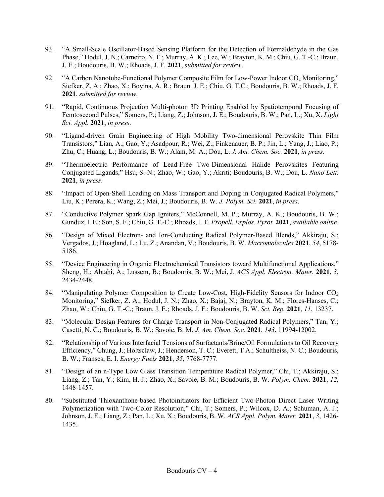- 93. "A Small-Scale Oscillator-Based Sensing Platform for the Detection of Formaldehyde in the Gas Phase," Hodul, J. N.; Carneiro, N. F.; Murray, A. K.; Lee, W.; Brayton, K. M.; Chiu, G. T.-C.; Braun, J. E.; Boudouris, B. W.; Rhoads, J. F. **2021**, *submitted for review*.
- 92. "A Carbon Nanotube-Functional Polymer Composite Film for Low-Power Indoor CO<sub>2</sub> Monitoring," Siefker, Z. A.; Zhao, X.; Boyina, A. R.; Braun. J. E.; Chiu, G. T.C.; Boudouris, B. W.; Rhoads, J. F. **2021**, *submitted for review*.
- 91. "Rapid, Continuous Projection Multi-photon 3D Printing Enabled by Spatiotemporal Focusing of Femtosecond Pulses," Somers, P.; Liang, Z.; Johnson, J. E.; Boudouris, B. W.; Pan, L.; Xu, X. *Light Sci. Appl.* **2021**, *in press*.
- 90. "Ligand-driven Grain Engineering of High Mobility Two-dimensional Perovskite Thin Film Transistors," Lian, A.; Gao, Y.; Asadpour, R.; Wei, Z.; Finkenauer, B. P.; Jin, L.; Yang, J.; Liao, P.; Zhu, C.; Huang, L.; Boudouris, B. W.; Alam, M. A.; Dou, L. *J. Am. Chem. Soc.* **2021**, *in press*.
- 89. "Thermoelectric Performance of Lead-Free Two-Dimensional Halide Perovskites Featuring Conjugated Ligands," Hsu, S.-N.; Zhao, W.; Gao, Y.; Akriti; Boudouris, B. W.; Dou, L. *Nano Lett.* **2021**, *in press*.
- 88. "Impact of Open-Shell Loading on Mass Transport and Doping in Conjugated Radical Polymers," Liu, K.; Perera, K.; Wang, Z.; Mei, J.; Boudouris, B. W. *J. Polym. Sci.* **2021**, *in press*.
- 87. "Conductive Polymer Spark Gap Igniters," McConnell, M. P.; Murray, A. K.; Boudouris, B. W.; Gunduz, I. E.; Son, S. F.; Chiu, G. T.-C.; Rhoads, J. F. *Propell. Explos. Pyrot.* **2021**, *available online*.
- 86. "Design of Mixed Electron- and Ion-Conducting Radical Polymer-Based Blends," Akkiraju, S.; Vergados, J.; Hoagland, L.; Lu, Z.; Anandan, V.; Boudouris, B. W. *Macromolecules* **2021**, *54*, 5178- 5186.
- 85. "Device Engineering in Organic Electrochemical Transistors toward Multifunctional Applications," Sheng, H.; Abtahi, A.; Lussem, B.; Boudouris, B. W.; Mei, J. *ACS Appl. Electron. Mater.* **2021**, *3*, 2434-2448.
- 84. "Manipulating Polymer Composition to Create Low-Cost, High-Fidelity Sensors for Indoor CO<sub>2</sub> Monitoring," Siefker, Z. A.; Hodul, J. N.; Zhao, X.; Bajaj, N.; Brayton, K. M.; Flores-Hanses, C.; Zhao, W.; Chiu, G. T.-C.; Braun, J. E.; Rhoads, J. F.; Boudouris, B. W. *Sci. Rep.* **2021**, *11*, 13237.
- 83. "Molecular Design Features for Charge Transport in Non-Conjugated Radical Polymers," Tan, Y.; Casetti, N. C.; Boudouris, B. W.; Savoie, B. M. *J. Am. Chem. Soc.* **2021**, *143*, 11994-12002.
- 82. "Relationship of Various Interfacial Tensions of Surfactants/Brine/Oil Formulations to Oil Recovery Efficiency," Chung, J.; Holtsclaw, J.; Henderson, T. C.; Everett, T A.; Schultheiss, N. C.; Boudouris, B. W.; Franses, E. I. *Energy Fuels* **2021**, *35*, 7768-7777.
- 81. "Design of an n-Type Low Glass Transition Temperature Radical Polymer," Chi, T.; Akkiraju, S.; Liang, Z.; Tan, Y.; Kim, H. J.; Zhao, X.; Savoie, B. M.; Boudouris, B. W. *Polym. Chem.* **2021**, *12*, 1448-1457.
- 80. "Substituted Thioxanthone-based Photoinitiators for Efficient Two-Photon Direct Laser Writing Polymerization with Two-Color Resolution," Chi, T.; Somers, P.; Wilcox, D. A.; Schuman, A. J.; Johnson, J. E.; Liang, Z.; Pan, L.; Xu, X.; Boudouris, B. W. *ACS Appl. Polym. Mater.* **2021**, *3*, 1426- 1435.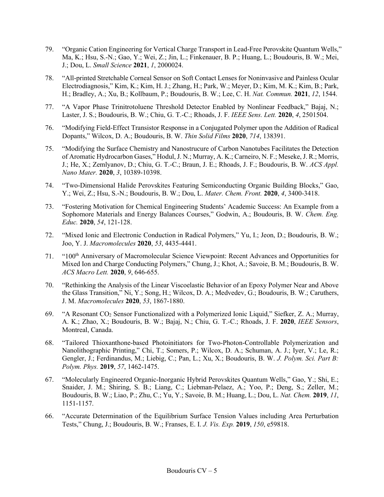- 79. "Organic Cation Engineering for Vertical Charge Transport in Lead-Free Perovskite Quantum Wells," Ma, K.; Hsu, S.-N.; Gao, Y.; Wei, Z.; Jin, L.; Finkenauer, B. P.; Huang, L.; Boudouris, B. W.; Mei, J.; Dou, L. *Small Science* **2021**, *1*, 2000024.
- 78. "All-printed Stretchable Corneal Sensor on Soft Contact Lenses for Noninvasive and Painless Ocular Electrodiagnosis," Kim, K.; Kim, H. J.; Zhang, H.; Park, W.; Meyer, D.; Kim, M. K.; Kim, B.; Park, H.; Bradley, A.; Xu, B.; Kollbaum, P.; Boudouris, B. W.; Lee, C. H. *Nat. Commun.* **2021**, *12*, 1544.
- 77. "A Vapor Phase Trinitrotoluene Threshold Detector Enabled by Nonlinear Feedback," Bajaj, N.; Laster, J. S.; Boudouris, B. W.; Chiu, G. T.-C.; Rhoads, J. F. *IEEE Sens. Lett.* **2020**, *4*, 2501504.
- 76. "Modifying Field-Effect Transistor Response in a Conjugated Polymer upon the Addition of Radical Dopants," Wilcox, D. A.; Boudouris, B. W. *Thin Solid Films* **2020**, *714*, 138391.
- 75. "Modifying the Surface Chemistry and Nanostrucure of Carbon Nanotubes Facilitates the Detection of Aromatic Hydrocarbon Gases," Hodul, J. N.; Murray, A. K.; Carneiro, N. F.; Meseke, J. R.; Morris, J.; He, X.; Zemlyanov, D.; Chiu, G. T.-C.; Braun, J. E.; Rhoads, J. F.; Boudouris, B. W. *ACS Appl. Nano Mater.* **2020**, *3*, 10389-10398.
- 74. "Two-Dimensional Halide Perovskites Featuring Semiconducting Organic Building Blocks," Gao, Y.; Wei, Z.; Hsu, S.-N.; Boudouris, B. W.; Dou, L. *Mater. Chem. Front.* **2020**, *4*, 3400-3418.
- 73. "Fostering Motivation for Chemical Engineering Students' Academic Success: An Example from a Sophomore Materials and Energy Balances Courses," Godwin, A.; Boudouris, B. W. *Chem. Eng. Educ.* **2020**, *54*, 121-128.
- 72. "Mixed Ionic and Electronic Conduction in Radical Polymers," Yu, I.; Jeon, D.; Boudouris, B. W.; Joo, Y. J. *Macromolecules* **2020**, *53*, 4435-4441.
- 71. "100th Anniversary of Macromolecular Science Viewpoint: Recent Advances and Opportunities for Mixed Ion and Charge Conducting Polymers," Chung, J.; Khot, A.; Savoie, B. M.; Boudouris, B. W. *ACS Macro Lett.* **2020**, *9*, 646-655.
- 70. "Rethinking the Analysis of the Linear Viscoelastic Behavior of an Epoxy Polymer Near and Above the Glass Transition," Ni, Y.; Song, H.; Wilcox, D. A.; Medvedev, G.; Boudouris, B. W.; Caruthers, J. M. *Macromolecules* **2020**, *53*, 1867-1880.
- 69. "A Resonant CO2 Sensor Functionalized with a Polymerized Ionic Liquid," Siefker, Z. A.; Murray, A. K.; Zhao, X.; Boudouris, B. W.; Bajaj, N.; Chiu, G. T.-C.; Rhoads, J. F. **2020**, *IEEE Sensors*, Montreal, Canada.
- 68. "Tailored Thioxanthone-based Photoinitiators for Two-Photon-Controllable Polymerization and Nanolithographic Printing," Chi, T.; Somers, P.; Wilcox, D. A.; Schuman, A. J.; Iyer, V.; Le, R.; Gengler, J.; Ferdinandus, M.; Liebig, C.; Pan, L.; Xu, X.; Boudouris, B. W. *J. Polym. Sci. Part B: Polym. Phys.* **2019**, *57*, 1462-1475.
- 67. "Molecularly Engineered Organic-Inorganic Hybrid Perovskites Quantum Wells," Gao, Y.; Shi, E.; Snaider, J. M.; Shiring, S. B.; Liang, C.; Liebman-Pelaez, A.; Yoo, P.; Deng, S.; Zeller, M.; Boudouris, B. W.; Liao, P.; Zhu, C.; Yu, Y.; Savoie, B. M.; Huang, L.; Dou, L. *Nat. Chem.* **2019**, *11*, 1151-1157.
- 66. "Accurate Determination of the Equilibrium Surface Tension Values including Area Perturbation Tests," Chung, J.; Boudouris, B. W.; Franses, E. I. *J. Vis. Exp.* **2019**, *150*, e59818.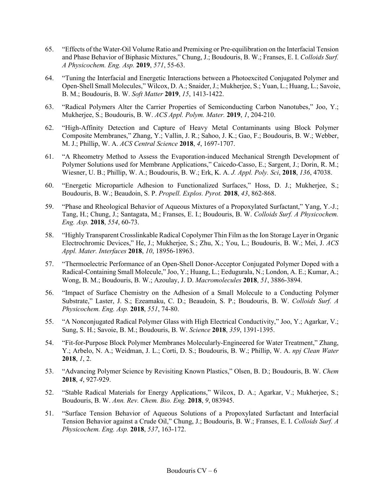- 65. "Effects of the Water-Oil Volume Ratio and Premixing or Pre-equilibration on the Interfacial Tension and Phase Behavior of Biphasic Mixtures," Chung, J.; Boudouris, B. W.; Franses, E. I. *Colloids Surf. A Physicochem. Eng. Asp.* **2019**, *571*, 55-63.
- 64. "Tuning the Interfacial and Energetic Interactions between a Photoexcited Conjugated Polymer and Open-Shell Small Molecules," Wilcox, D. A.; Snaider, J.; Mukherjee, S.; Yuan, L.; Huang, L.; Savoie, B. M.; Boudouris, B. W. *Soft Matter* **2019**, *15*, 1413-1422.
- 63. "Radical Polymers Alter the Carrier Properties of Semiconducting Carbon Nanotubes," Joo, Y.; Mukherjee, S.; Boudouris, B. W. *ACS Appl. Polym. Mater.* **2019**, *1*, 204-210.
- 62. "High-Affinity Detection and Capture of Heavy Metal Contaminants using Block Polymer Composite Membranes," Zhang, Y.; Vallin, J. R.; Sahoo, J. K.; Gao, F.; Boudouris, B. W.; Webber, M. J.; Phillip, W. A. *ACS Central Science* **2018**, *4*, 1697-1707.
- 61. "A Rheometry Method to Assess the Evaporation-induced Mechanical Strength Development of Polymer Solutions used for Membrane Applications," Caicedo-Casso, E.; Sargent, J.; Dorin, R. M.; Wiesner, U. B.; Phillip, W. A.; Boudouris, B. W.; Erk, K. A. *J. Appl. Poly. Sci*, **2018**, *136*, 47038.
- 60. "Energetic Microparticle Adhesion to Functionalized Surfaces," Hoss, D. J.; Mukherjee, S.; Boudouris, B. W.; Beaudoin, S. P. *Propell. Explos. Pyrot.* **2018**, *43*, 862-868.
- 59. "Phase and Rheological Behavior of Aqueous Mixtures of a Propoxylated Surfactant," Yang, Y.-J.; Tang, H.; Chung, J.; Santagata, M.; Franses, E. I.; Boudouris, B. W. *Colloids Surf. A Physicochem. Eng. Asp.* **2018**, *554*, 60-73.
- 58. "Highly Transparent Crosslinkable Radical Copolymer Thin Film as the Ion Storage Layer in Organic Electrochromic Devices," He, J.; Mukherjee, S.; Zhu, X.; You, L.; Boudouris, B. W.; Mei, J. *ACS Appl. Mater. Interfaces* **2018**, *10*, 18956-18963.
- 57. "Thermoelectric Performance of an Open-Shell Donor-Acceptor Conjugated Polymer Doped with a Radical-Containing Small Molecule," Joo, Y.; Huang, L.; Eedugurala, N.; London, A. E.; Kumar, A.; Wong, B. M.; Boudouris, B. W.; Azoulay, J. D. *Macromolecules* **2018**, *51*, 3886-3894.
- 56. "Impact of Surface Chemistry on the Adhesion of a Small Molecule to a Conducting Polymer Substrate," Laster, J. S.; Ezeamaku, C. D.; Beaudoin, S. P.; Boudouris, B. W. *Colloids Surf. A Physicochem. Eng. Asp.* **2018**, *551*, 74-80.
- 55. "A Nonconjugated Radical Polymer Glass with High Electrical Conductivity," Joo, Y.; Agarkar, V.; Sung, S. H.; Savoie, B. M.; Boudouris, B. W. *Science* **2018**, *359*, 1391-1395.
- 54. "Fit-for-Purpose Block Polymer Membranes Molecularly-Engineered for Water Treatment," Zhang, Y.; Arbelo, N. A.; Weidman, J. L.; Corti, D. S.; Boudouris, B. W.; Phillip, W. A. *npj Clean Water* **2018**, *1*, 2.
- 53. "Advancing Polymer Science by Revisiting Known Plastics," Olsen, B. D.; Boudouris, B. W. *Chem* **2018**, *4*, 927-929.
- 52. "Stable Radical Materials for Energy Applications," Wilcox, D. A.; Agarkar, V.; Mukherjee, S.; Boudouris, B. W. *Ann. Rev. Chem. Bio. Eng.* **2018**, *9*, 083945.
- 51. "Surface Tension Behavior of Aqueous Solutions of a Propoxylated Surfactant and Interfacial Tension Behavior against a Crude Oil," Chung, J.; Boudouris, B. W.; Franses, E. I. *Colloids Surf. A Physicochem. Eng. Asp.* **2018**, *537*, 163-172.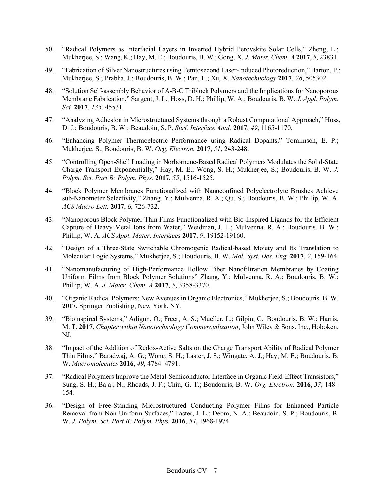- 50. "Radical Polymers as Interfacial Layers in Inverted Hybrid Perovskite Solar Cells," Zheng, L.; Mukherjee, S.; Wang, K.; Hay, M. E.; Boudouris, B. W.; Gong, X. *J. Mater. Chem. A* **2017**, *5*, 23831.
- 49. "Fabrication of Silver Nanostructures using Femtosecond Laser-Induced Photoreduction," Barton, P.; Mukherjee, S.; Prabha, J.; Boudouris, B. W.; Pan, L.; Xu, X. *Nanotechnology* **2017**, *28*, 505302.
- 48. "Solution Self-assembly Behavior of A-B-C Triblock Polymers and the Implications for Nanoporous Membrane Fabrication," Sargent, J. L.; Hoss, D. H.; Phillip, W. A.; Boudouris, B. W. *J. Appl. Polym. Sci.* **2017**, *135*, 45531.
- 47. "Analyzing Adhesion in Microstructured Systems through a Robust Computational Approach," Hoss, D. J.; Boudouris, B. W.; Beaudoin, S. P. *Surf. Interface Anal.* **2017**, *49*, 1165-1170.
- 46. "Enhancing Polymer Thermoelectric Performance using Radical Dopants," Tomlinson, E. P.; Mukherjee, S.; Boudouris, B. W. *Org. Electron.* **2017**, *51*, 243-248.
- 45. "Controlling Open-Shell Loading in Norbornene-Based Radical Polymers Modulates the Solid-State Charge Transport Exponentially," Hay, M. E.; Wong, S. H.; Mukherjee, S.; Boudouris, B. W. *J. Polym. Sci. Part B: Polym. Phys.* **2017**, *55*, 1516-1525.
- 44. "Block Polymer Membranes Functionalized with Nanoconfined Polyelectrolyte Brushes Achieve sub-Nanometer Selectivity," Zhang, Y.; Mulvenna, R. A.; Qu, S.; Boudouris, B. W.; Phillip, W. A. *ACS Macro Lett.* **2017**, *6*, 726-732.
- 43. "Nanoporous Block Polymer Thin Films Functionalized with Bio-Inspired Ligands for the Efficient Capture of Heavy Metal Ions from Water," Weidman, J. L.; Mulvenna, R. A.; Boudouris, B. W.; Phillip, W. A. *ACS Appl. Mater. Interfaces* **2017**, *9*, 19152-19160.
- 42. "Design of a Three-State Switchable Chromogenic Radical-based Moiety and Its Translation to Molecular Logic Systems," Mukherjee, S.; Boudouris, B. W. *Mol. Syst. Des. Eng.* **2017**, *2*, 159-164.
- 41. "Nanomanufacturing of High-Performance Hollow Fiber Nanofiltration Membranes by Coating Uniform Films from Block Polymer Solutions" Zhang, Y.; Mulvenna, R. A.; Boudouris, B. W.; Phillip, W. A. *J. Mater. Chem. A* **2017**, *5*, 3358-3370.
- 40. "Organic Radical Polymers: New Avenues in Organic Electronics," Mukherjee, S.; Boudouris. B. W. **2017**, Springer Publishing, New York, NY.
- 39. "Bioinspired Systems," Adigun, O.; Freer, A. S.; Mueller, L.; Gilpin, C.; Boudouris, B. W.; Harris, M. T. **2017**, *Chapter within Nanotechnology Commercialization*, John Wiley & Sons, Inc., Hoboken, NJ.
- 38. "Impact of the Addition of Redox-Active Salts on the Charge Transport Ability of Radical Polymer Thin Films," Baradwaj, A. G.; Wong, S. H.; Laster, J. S.; Wingate, A. J.; Hay, M. E.; Boudouris, B. W. *Macromolecules* **2016**, *49*, 4784–4791.
- 37. "Radical Polymers Improve the Metal-Semiconductor Interface in Organic Field-Effect Transistors," Sung, S. H.; Bajaj, N.; Rhoads, J. F.; Chiu, G. T.; Boudouris, B. W. *Org. Electron.* **2016**, *37*, 148– 154.
- 36. "Design of Free-Standing Microstructured Conducting Polymer Films for Enhanced Particle Removal from Non-Uniform Surfaces," Laster, J. L.; Deom, N. A.; Beaudoin, S. P.; Boudouris, B. W. *J. Polym. Sci. Part B: Polym. Phys.* **2016**, *54*, 1968-1974.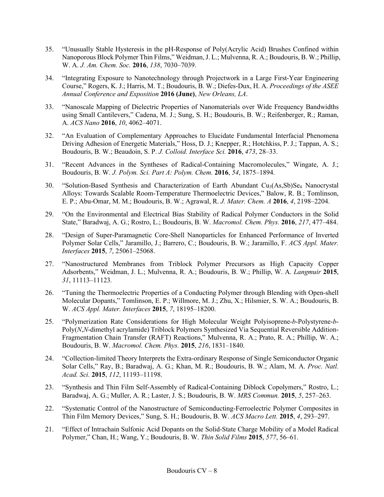- 35. "Unusually Stable Hysteresis in the pH-Response of Poly(Acrylic Acid) Brushes Confined within Nanoporous Block Polymer Thin Films," Weidman, J. L.; Mulvenna, R. A.; Boudouris, B. W.; Phillip, W. A. *J. Am. Chem. Soc.* **2016**, *138*, 7030–7039.
- 34. "Integrating Exposure to Nanotechnology through Projectwork in a Large First-Year Engineering Course," Rogers, K. J.; Harris, M. T.; Boudouris, B. W.; Diefes-Dux, H. A. *Proceedings of the ASEE Annual Conference and Exposition* **2016 (June)**, *New Orleans, LA*.
- 33. "Nanoscale Mapping of Dielectric Properties of Nanomaterials over Wide Frequency Bandwidths using Small Cantilevers," Cadena, M. J.; Sung, S. H.; Boudouris, B. W.; Reifenberger, R.; Raman, A. *ACS Nano* **2016**, *10*, 4062–4071.
- 32. "An Evaluation of Complementary Approaches to Elucidate Fundamental Interfacial Phenomena Driving Adhesion of Energetic Materials," Hoss, D. J.; Knepper, R.; Hotchkiss, P. J.; Tappan, A. S.; Boudouris, B. W.; Beaudoin, S. P. *J. Colloid. Interface Sci.* **2016**, *473*, 28–33.
- 31. "Recent Advances in the Syntheses of Radical-Containing Macromolecules," Wingate, A. J.; Boudouris, B. W. *J. Polym. Sci. Part A: Polym. Chem.* **2016**, *54*, 1875–1894.
- 30. "Solution-Based Synthesis and Characterization of Earth Abundant Cu<sub>3</sub>(As, Sb)Se<sub>4</sub> Nanocrystal Alloys: Towards Scalable Room-Temperature Thermoelectric Devices," Balow, R. B.; Tomlinson, E. P.; Abu-Omar, M. M.; Boudouris, B. W.; Agrawal, R. *J. Mater. Chem. A* **2016**, *4*, 2198–2204.
- 29. "On the Environmental and Electrical Bias Stability of Radical Polymer Conductors in the Solid State," Baradwaj, A. G.; Rostro, L.; Boudouris, B. W. *Macromol. Chem. Phys.* **2016**, *217*, 477–484.
- 28. "Design of Super-Paramagnetic Core-Shell Nanoparticles for Enhanced Performance of Inverted Polymer Solar Cells," Jaramillo, J.; Barrero, C.; Boudouris, B. W.; Jaramillo, F. *ACS Appl. Mater. Interfaces* **2015**, *7*, 25061–25068.
- 27. "Nanostructured Membranes from Triblock Polymer Precursors as High Capacity Copper Adsorbents," Weidman, J. L.; Mulvenna, R. A.; Boudouris, B. W.; Phillip, W. A. *Langmuir* **2015**, *31*, 11113–11123*.*
- 26. "Tuning the Thermoelectric Properties of a Conducting Polymer through Blending with Open-shell Molecular Dopants," Tomlinson, E. P.; Willmore, M. J.; Zhu, X.; Hilsmier, S. W. A.; Boudouris, B. W. *ACS Appl. Mater. Interfaces* **2015**, *7*, 18195–18200.
- 25. "Polymerization Rate Considerations for High Molecular Weight Polyisoprene-*b*-Polystyrene-*b*-Poly(*N*,*N*-dimethyl acrylamide) Triblock Polymers Synthesized Via Sequential Reversible Addition-Fragmentation Chain Transfer (RAFT) Reactions," Mulvenna, R. A.; Prato, R. A.; Phillip, W. A.; Boudouris, B. W. *Macromol. Chem. Phys.* **2015**, *216*, 1831–1840.
- 24. "Collection-limited Theory Interprets the Extra-ordinary Response of Single Semiconductor Organic Solar Cells," Ray, B.; Baradwaj, A. G.; Khan, M. R.; Boudouris, B. W.; Alam, M. A. *Proc. Natl. Acad. Sci.* **2015**, *112*, 11193–11198.
- 23. "Synthesis and Thin Film Self-Assembly of Radical-Containing Diblock Copolymers," Rostro, L.; Baradwaj, A. G.; Muller, A. R.; Laster, J. S.; Boudouris, B. W. *MRS Commun.* **2015**, *5*, 257–263.
- 22. "Systematic Control of the Nanostructure of Semiconducting-Ferroelectric Polymer Composites in Thin Film Memory Devices," Sung, S. H.; Boudouris, B. W. *ACS Macro Lett.* **2015**, *4*, 293–297.
- 21. "Effect of Intrachain Sulfonic Acid Dopants on the Solid-State Charge Mobility of a Model Radical Polymer," Chan, H.; Wang, Y.; Boudouris, B. W. *Thin Solid Films* **2015**, *577*, 56–61.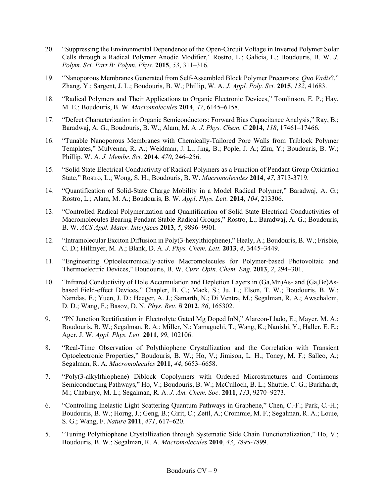- 20. "Suppressing the Environmental Dependence of the Open-Circuit Voltage in Inverted Polymer Solar Cells through a Radical Polymer Anodic Modifier," Rostro, L.; Galicia, L.; Boudouris, B. W. *J. Polym. Sci. Part B: Polym. Phys.* **2015**, *53*, 311–316.
- 19. "Nanoporous Membranes Generated from Self-Assembled Block Polymer Precursors: *Quo Vadis*?," Zhang, Y.; Sargent, J. L.; Boudouris, B. W.; Phillip, W. A. *J. Appl. Poly. Sci.* **2015**, *132*, 41683.
- 18. "Radical Polymers and Their Applications to Organic Electronic Devices," Tomlinson, E. P.; Hay, M. E.; Boudouris, B. W. *Macromolecules* **2014**, *47*, 6145–6158.
- 17. "Defect Characterization in Organic Semiconductors: Forward Bias Capacitance Analysis," Ray, B.; Baradwaj, A. G.; Boudouris, B. W.; Alam, M. A. *J. Phys. Chem. C* **2014**, *118*, 17461–17466*.*
- 16. "Tunable Nanoporous Membranes with Chemically-Tailored Pore Walls from Triblock Polymer Templates," Mulvenna, R. A.; Weidman, J. L.; Jing, B.; Pople, J. A.; Zhu, Y.; Boudouris, B. W.; Phillip. W. A. *J. Membr. Sci.* **2014**, *470*, 246–256.
- 15. "Solid State Electrical Conductivity of Radical Polymers as a Function of Pendant Group Oxidation State," Rostro, L.; Wong, S. H.; Boudouris, B. W. *Macromolecules* **2014**, *47*, 3713-3719.
- 14. "Quantification of Solid-State Charge Mobility in a Model Radical Polymer," Baradwaj, A. G.; Rostro, L.; Alam, M. A.; Boudouris, B. W. *Appl*. *Phys. Lett.* **2014**, *104*, 213306.
- 13. "Controlled Radical Polymerization and Quantification of Solid State Electrical Conductivities of Macromolecules Bearing Pendant Stable Radical Groups," Rostro, L.; Baradwaj, A. G.; Boudouris, B. W. *ACS Appl. Mater. Interfaces* **2013**, *5*, 9896–9901*.*
- 12. "Intramolecular Exciton Diffusion in Poly(3-hexylthiophene)," Healy, A.; Boudouris, B. W.; Frisbie, C. D.; Hillmyer, M. A.; Blank, D. A. *J*. *Phys. Chem. Lett.* **2013**, *4*, 3445–3449.
- 11. "Engineering Optoelectronically-active Macromolecules for Polymer-based Photovoltaic and Thermoelectric Devices," Boudouris, B. W. *Curr. Opin. Chem. Eng.* **2013**, *2*, 294–301.
- 10. "Infrared Conductivity of Hole Accumulation and Depletion Layers in (Ga,Mn)As- and (Ga,Be)Asbased Field-effect Devices," Chapler, B. C.; Mack, S.; Ju, L.; Elson, T. W.; Boudouris, B. W.; Namdas, E.; Yuen, J. D.; Heeger, A. J.; Samarth, N.; Di Ventra, M.; Segalman, R. A.; Awschalom, D. D.; Wang, F.; Basov, D. N. *Phys. Rev. B* **2012**, *86*, 165302.
- 9. "PN Junction Rectification in Electrolyte Gated Mg Doped InN," Alarcon-Llado, E.; Mayer, M. A.; Boudouris, B. W.; Segalman, R. A.; Miller, N.; Yamaguchi, T.; Wang, K.; Nanishi, Y.; Haller, E. E.; Ager, J. W. *Appl. Phys. Lett.* **2011**, *99*, 102106.
- 8. "Real-Time Observation of Polythiophene Crystallization and the Correlation with Transient Optoelectronic Properties," Boudouris, B. W.; Ho, V.; Jimison, L. H.; Toney, M. F.; Salleo, A.; Segalman, R. A. *Macromolecules* **2011**, *44*, 6653–6658.
- 7. "Poly(3-alkylthiophene) Diblock Copolymers with Ordered Microstructures and Continuous Semiconducting Pathways," Ho, V.; Boudouris, B. W.; McCulloch, B. L.; Shuttle, C. G.; Burkhardt, M.; Chabinyc, M. L.; Segalman, R. A. *J. Am. Chem. Soc*. **2011**, *133*, 9270–9273.
- 6. "Controlling Inelastic Light Scattering Quantum Pathways in Graphene," Chen, C.-F.; Park, C.-H.; Boudouris, B. W.; Horng, J.; Geng, B.; Girit, C.; Zettl, A.; Crommie, M. F.; Segalman, R. A.; Louie, S. G.; Wang, F. *Nature* **2011**, *471*, 617–620.
- 5. "Tuning Polythiophene Crystallization through Systematic Side Chain Functionalization," Ho, V.; Boudouris, B. W.; Segalman, R. A. *Macromolecules* **2010**, *43*, 7895-7899.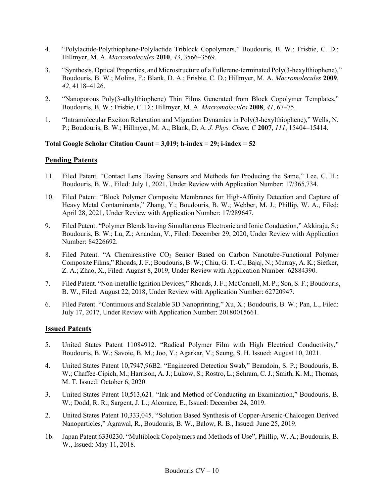- 4. "Polylactide-Polythiophene-Polylactide Triblock Copolymers," Boudouris, B. W.; Frisbie, C. D.; Hillmyer, M. A. *Macromolecules* **2010**, *43*, 3566–3569.
- 3. "Synthesis, Optical Properties, and Microstructure of a Fullerene-terminated Poly(3-hexylthiophene)," Boudouris, B. W.; Molins, F.; Blank, D. A.; Frisbie, C. D.; Hillmyer, M. A. *Macromolecules* **2009**, *42*, 4118–4126.
- 2. "Nanoporous Poly(3-alkylthiophene) Thin Films Generated from Block Copolymer Templates," Boudouris, B. W.; Frisbie, C. D.; Hillmyer, M. A. *Macromolecules* **2008**, *41*, 67–75.
- 1. "Intramolecular Exciton Relaxation and Migration Dynamics in Poly(3-hexylthiophene)," Wells, N. P.; Boudouris, B. W.; Hillmyer, M. A.; Blank, D. A. *J. Phys. Chem. C* **2007**, *111*, 15404–15414.

#### **Total Google Scholar Citation Count = 3,019; h-index = 29; i-index = 52**

### **Pending Patents**

- 11. Filed Patent. "Contact Lens Having Sensors and Methods for Producing the Same," Lee, C. H.; Boudouris, B. W., Filed: July 1, 2021, Under Review with Application Number: 17/365,734.
- 10. Filed Patent. "Block Polymer Composite Membranes for High-Affinity Detection and Capture of Heavy Metal Contaminants," Zhang, Y.; Boudouris, B. W.; Webber, M. J.; Phillip, W. A., Filed: April 28, 2021, Under Review with Application Number: 17/289647.
- 9. Filed Patent. "Polymer Blends having Simultaneous Electronic and Ionic Conduction," Akkiraju, S.; Boudouris, B. W.; Lu, Z.; Anandan, V., Filed: December 29, 2020, Under Review with Application Number: 84226692.
- 8. Filed Patent. "A Chemiresistive CO<sub>2</sub> Sensor Based on Carbon Nanotube-Functional Polymer Composite Films," Rhoads, J. F.; Boudouris, B. W.; Chiu, G. T.-C.; Bajaj, N.; Murray, A. K.; Siefker, Z. A.; Zhao, X., Filed: August 8, 2019, Under Review with Application Number: 62884390.
- 7. Filed Patent. "Non-metallic Ignition Devices," Rhoads, J. F.; McConnell, M. P.; Son, S. F.; Boudouris, B. W., Filed: August 22, 2018, Under Review with Application Number: 62720947.
- 6. Filed Patent. "Continuous and Scalable 3D Nanoprinting," Xu, X.; Boudouris, B. W.; Pan, L., Filed: July 17, 2017, Under Review with Application Number: 20180015661.

### **Issued Patents**

- 5. United States Patent 11084912. "Radical Polymer Film with High Electrical Conductivity," Boudouris, B. W.; Savoie, B. M.; Joo, Y.; Agarkar, V.; Seung, S. H. Issued: August 10, 2021.
- 4. United States Patent 10,7947,96B2. "Engineered Detection Swab," Beaudoin, S. P.; Boudouris, B. W.; Chaffee-Cipich, M.; Harrison, A. J.; Lukow, S.; Rostro, L.; Schram, C. J.; Smith, K. M.; Thomas, M. T. Issued: October 6, 2020.
- 3. United States Patent 10,513,621. "Ink and Method of Conducting an Examination," Boudouris, B. W.; Dodd, R. R.; Sargent, J. L.; Alcorace, E., Issued: December 24, 2019.
- 2. United States Patent 10,333,045. "Solution Based Synthesis of Copper-Arsenic-Chalcogen Derived Nanoparticles," Agrawal, R., Boudouris, B. W., Balow, R. B., Issued: June 25, 2019.
- 1b. Japan Patent 6330230. "Multiblock Copolymers and Methods of Use", Phillip, W. A.; Boudouris, B. W., Issued: May 11, 2018.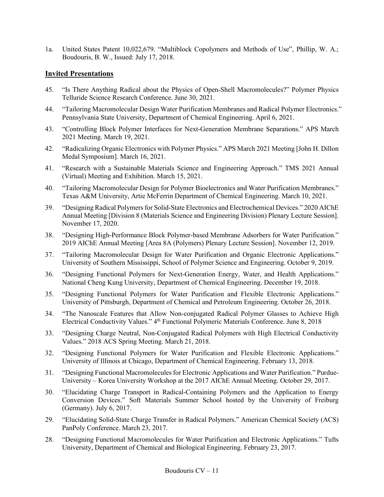1a. United States Patent 10,022,679. "Multiblock Copolymers and Methods of Use", Phillip, W. A.; Boudouris, B. W., Issued: July 17, 2018.

#### **Invited Presentations**

- 45. "Is There Anything Radical about the Physics of Open-Shell Macromolecules?" Polymer Physics Telluride Science Research Conference. June 30, 2021.
- 44. "Tailoring Macromolecular Design Water Purification Membranes and Radical Polymer Electronics." Pennsylvania State University, Department of Chemical Engineering. April 6, 2021.
- 43. "Controlling Block Polymer Interfaces for Next-Generation Membrane Separations." APS March 2021 Meeting. March 19, 2021.
- 42. "Radicalizing Organic Electronics with Polymer Physics." APS March 2021 Meeting [John H. Dillon Medal Symposium]. March 16, 2021.
- 41. "Research with a Sustainable Materials Science and Engineering Approach." TMS 2021 Annual (Virtual) Meeting and Exhibition. March 15, 2021.
- 40. "Tailoring Macromolecular Design for Polymer Bioelectronics and Water Purification Membranes." Texas A&M University, Artie McFerrin Department of Chemical Engineering. March 10, 2021.
- 39. "Designing Radical Polymers for Solid-State Electronics and Electrochemical Devices." 2020 AIChE Annual Meeting [Division 8 (Materials Science and Engineering Division) Plenary Lecture Session]. November 17, 2020.
- 38. "Designing High-Performance Block Polymer-based Membrane Adsorbers for Water Purification." 2019 AIChE Annual Meeting [Area 8A (Polymers) Plenary Lecture Session]. November 12, 2019.
- 37. "Tailoring Macromolecular Design for Water Purification and Organic Electronic Applications." University of Southern Mississippi, School of Polymer Science and Engineering. October 9, 2019.
- 36. "Designing Functional Polymers for Next-Generation Energy, Water, and Health Applications." National Cheng Kung University, Department of Chemical Engineering. December 19, 2018.
- 35. "Designing Functional Polymers for Water Purification and Flexible Electronic Applications." University of Pittsburgh, Department of Chemical and Petroleum Engineering. October 26, 2018.
- 34. "The Nanoscale Features that Allow Non-conjugated Radical Polymer Glasses to Achieve High Electrical Conductivity Values." 4<sup>th</sup> Functional Polymeric Materials Conference. June 8, 2018
- 33. "Designing Charge Neutral, Non-Conjugated Radical Polymers with High Electrical Conductivity Values." 2018 ACS Spring Meeting. March 21, 2018.
- 32. "Designing Functional Polymers for Water Purification and Flexible Electronic Applications." University of Illinois at Chicago, Department of Chemical Engineering. February 13, 2018.
- 31. "Designing Functional Macromolecules for Electronic Applications and Water Purification." Purdue-University – Korea University Workshop at the 2017 AIChE Annual Meeting. October 29, 2017.
- 30. "Elucidating Charge Transport in Radical-Containing Polymers and the Application to Energy Conversion Devices." Soft Materials Summer School hosted by the University of Freiburg (Germany). July 6, 2017.
- 29. "Elucidating Solid-State Charge Transfer in Radical Polymers." American Chemical Society (ACS) PanPoly Conference. March 23, 2017.
- 28. "Designing Functional Macromolecules for Water Purification and Electronic Applications." Tufts University, Department of Chemical and Biological Engineering. February 23, 2017.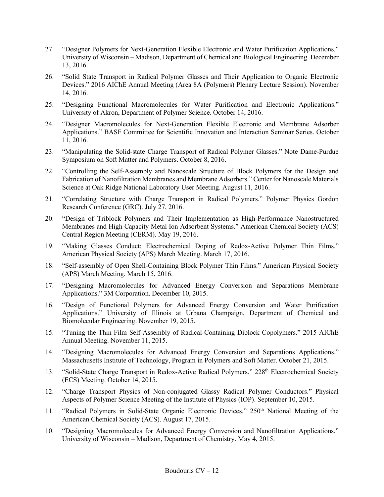- 27. "Designer Polymers for Next-Generation Flexible Electronic and Water Purification Applications." University of Wisconsin – Madison, Department of Chemical and Biological Engineering. December 13, 2016.
- 26. "Solid State Transport in Radical Polymer Glasses and Their Application to Organic Electronic Devices." 2016 AIChE Annual Meeting (Area 8A (Polymers) Plenary Lecture Session). November 14, 2016.
- 25. "Designing Functional Macromolecules for Water Purification and Electronic Applications." University of Akron, Department of Polymer Science. October 14, 2016.
- 24. "Designer Macromolecules for Next-Generation Flexible Electronic and Membrane Adsorber Applications." BASF Committee for Scientific Innovation and Interaction Seminar Series. October 11, 2016.
- 23. "Manipulating the Solid-state Charge Transport of Radical Polymer Glasses." Note Dame-Purdue Symposium on Soft Matter and Polymers. October 8, 2016.
- 22. "Controlling the Self-Assembly and Nanoscale Structure of Block Polymers for the Design and Fabrication of Nanofiltration Membranes and Membrane Adsorbers." Center for Nanoscale Materials Science at Oak Ridge National Laboratory User Meeting. August 11, 2016.
- 21. "Correlating Structure with Charge Transport in Radical Polymers." Polymer Physics Gordon Research Conference (GRC). July 27, 2016.
- 20. "Design of Triblock Polymers and Their Implementation as High-Performance Nanostructured Membranes and High Capacity Metal Ion Adsorbent Systems." American Chemical Society (ACS) Central Region Meeting (CERM). May 19, 2016.
- 19. "Making Glasses Conduct: Electrochemical Doping of Redox-Active Polymer Thin Films." American Physical Society (APS) March Meeting. March 17, 2016.
- 18. "Self-assembly of Open Shell-Containing Block Polymer Thin Films." American Physical Society (APS) March Meeting. March 15, 2016.
- 17. "Designing Macromolecules for Advanced Energy Conversion and Separations Membrane Applications." 3M Corporation. December 10, 2015.
- 16. "Design of Functional Polymers for Advanced Energy Conversion and Water Purification Applications." University of Illinois at Urbana Champaign, Department of Chemical and Biomolecular Engineering. November 19, 2015.
- 15. "Tuning the Thin Film Self-Assembly of Radical-Containing Diblock Copolymers." 2015 AIChE Annual Meeting. November 11, 2015.
- 14. "Designing Macromolecules for Advanced Energy Conversion and Separations Applications." Massachusetts Institute of Technology, Program in Polymers and Soft Matter. October 21, 2015.
- 13. "Solid-State Charge Transport in Redox-Active Radical Polymers." 228<sup>th</sup> Electrochemical Society (ECS) Meeting. October 14, 2015.
- 12. "Charge Transport Physics of Non-conjugated Glassy Radical Polymer Conductors." Physical Aspects of Polymer Science Meeting of the Institute of Physics (IOP). September 10, 2015.
- 11. "Radical Polymers in Solid-State Organic Electronic Devices." 250<sup>th</sup> National Meeting of the American Chemical Society (ACS). August 17, 2015.
- 10. "Designing Macromolecules for Advanced Energy Conversion and Nanofiltration Applications." University of Wisconsin – Madison, Department of Chemistry. May 4, 2015.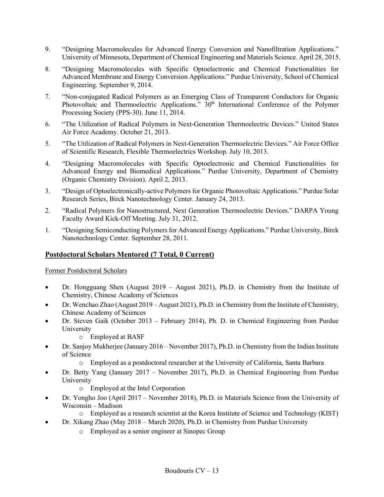- 9. "Designing Macromolecules for Advanced Energy Conversion and Nanofiltration Applications." University of Minnesota, Department of Chemical Engineering and Materials Science. April 28, 2015.
- 8. "Designing Macromolecules with Specific Optoelectronic and Chemical Functionalities for Advanced Membrane and Energy Conversion Applications." Purdue University, School of Chemical Engineering. September 9, 2014.
- 7. "Non-conjugated Radical Polymers as an Emerging Class of Transparent Conductors for Organic Photovoltaic and Thermoelectric Applications."  $30<sup>th</sup>$  International Conference of the Polymer Processing Society (PPS-30). June 11, 2014.
- 6. "The Utilization of Radical Polymers in Next-Generation Thermoelectric Devices." United States Air Force Academy. October 21, 2013.
- 5. "The Utilization of Radical Polymers in Next-Generation Thermoelectric Devices." Air Force Office of Scientific Research, Flexible Thermoelectrics Workshop. July 10, 2013.
- 4. "Designing Macromolecules with Specific Optoelectronic and Chemical Functionalities for Advanced Energy and Biomedical Applications." Purdue University, Department of Chemistry (Organic Chemistry Division). April 2, 2013.
- 3. "Design of Optoelectronically-active Polymers for Organic Photovoltaic Applications." Purdue Solar Research Series, Birck Nanotechnology Center. January 24, 2013.
- 2. "Radical Polymers for Nanostructured, Next Generation Thermoelectric Devices." DARPA Young Faculty Award Kick-Off Meeting. July 31, 2012.
- 1. "Designing Semiconducting Polymers for Advanced Energy Applications." Purdue University, Birck Nanotechnology Center. September 28, 2011.

## **Postdoctoral Scholars Mentored (7 Total, 0 Current)**

Former Postdoctoral Scholars

- Dr. Hongguang Shen (August 2019 August 2021), Ph.D. in Chemistry from the Institute of Chemistry, Chinese Academy of Sciences
- Dr. Wenchao Zhao (August 2019 August 2021), Ph.D. in Chemistry from the Institute of Chemistry, Chinese Academy of Sciences
- Dr. Steven Gaik (October 2013 February 2014), Ph. D. in Chemical Engineering from Purdue University
	- o Employed at BASF
- Dr. Sanjoy Mukherjee (January 2016 November 2017), Ph.D. in Chemistry from the Indian Institute of Science
	- o Employed as a postdoctoral researcher at the University of California, Santa Barbara
- Dr. Betty Yang (January 2017 November 2017), Ph.D. in Chemical Engineering from Purdue University
	- o Employed at the Intel Corporation
- Dr. Yongho Joo (April 2017 November 2018), Ph.D. in Materials Science from the University of Wisconsin – Madison
	- o Employed as a research scientist at the Korea Institute of Science and Technology (KIST)
- Dr. Xikang Zhao (May 2018 March 2020), Ph.D. in Chemistry from Purdue University
	- o Employed as a senior engineer at Sinopec Group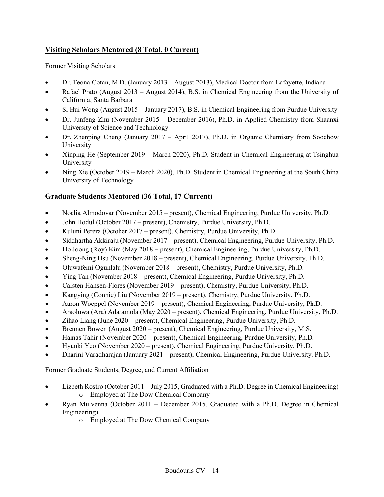# **Visiting Scholars Mentored (8 Total, 0 Current)**

#### Former Visiting Scholars

- Dr. Teona Cotan, M.D. (January 2013 August 2013), Medical Doctor from Lafayette, Indiana
- Rafael Prato (August 2013 August 2014), B.S. in Chemical Engineering from the University of California, Santa Barbara
- Si Hui Wong (August 2015 January 2017), B.S. in Chemical Engineering from Purdue University
- Dr. Junfeng Zhu (November 2015 December 2016), Ph.D. in Applied Chemistry from Shaanxi University of Science and Technology
- Dr. Zhenping Cheng (January 2017 April 2017), Ph.D. in Organic Chemistry from Soochow University
- Xinping He (September 2019 March 2020), Ph.D. Student in Chemical Engineering at Tsinghua University
- Ning Xie (October 2019 March 2020), Ph.D. Student in Chemical Engineering at the South China University of Technology

## **Graduate Students Mentored (36 Total, 17 Current)**

- Noelia Almodovar (November 2015 present), Chemical Engineering, Purdue University, Ph.D.
- John Hodul (October 2017 present), Chemistry, Purdue University, Ph.D.
- Kuluni Perera (October 2017 present), Chemistry, Purdue University, Ph.D.
- Siddhartha Akkiraju (November 2017 present), Chemical Engineering, Purdue University, Ph.D.
- Ho Joong (Roy) Kim (May 2018 present), Chemical Engineering, Purdue University, Ph.D.
- Sheng-Ning Hsu (November 2018 present), Chemical Engineering, Purdue University, Ph.D.
- Oluwafemi Ogunlalu (November 2018 present), Chemistry, Purdue University, Ph.D.
- Ying Tan (November 2018 present), Chemical Engineering, Purdue University, Ph.D.
- Carsten Hansen-Flores (November 2019 present), Chemistry, Purdue University, Ph.D.
- Kangying (Connie) Liu (November 2019 present), Chemistry, Purdue University, Ph.D.
- Aaron Woeppel (November 2019 present), Chemical Engineering, Purdue University, Ph.D.
- Araoluwa (Ara) Adaramola (May 2020 present), Chemical Engineering, Purdue University, Ph.D.
- Zihao Liang (June 2020 present), Chemical Engineering, Purdue University, Ph.D.
- Brennen Bowen (August 2020 present), Chemical Engineering, Purdue University, M.S.
- Hamas Tahir (November 2020 present), Chemical Engineering, Purdue University, Ph.D.
- Hyunki Yeo (November 2020 present), Chemical Engineering, Purdue University, Ph.D.
- Dharini Varadharajan (January 2021 present), Chemical Engineering, Purdue University, Ph.D.

#### Former Graduate Students, Degree, and Current Affiliation

- Lizbeth Rostro (October 2011 July 2015, Graduated with a Ph.D. Degree in Chemical Engineering) o Employed at The Dow Chemical Company
- Ryan Mulvenna (October 2011 December 2015, Graduated with a Ph.D. Degree in Chemical Engineering)
	- o Employed at The Dow Chemical Company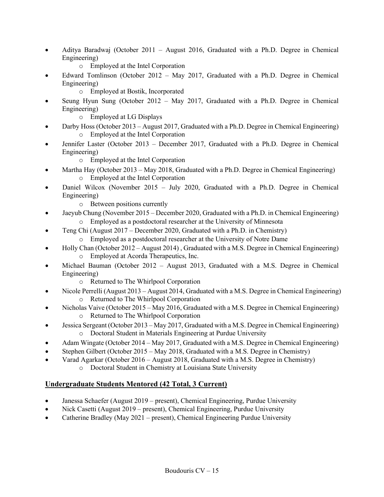- Aditya Baradwaj (October 2011 August 2016, Graduated with a Ph.D. Degree in Chemical Engineering)
	- o Employed at the Intel Corporation
- Edward Tomlinson (October 2012 May 2017, Graduated with a Ph.D. Degree in Chemical Engineering)
	- o Employed at Bostik, Incorporated
- Seung Hyun Sung (October 2012 May 2017, Graduated with a Ph.D. Degree in Chemical Engineering)
	- o Employed at LG Displays
- Darby Hoss (October 2013 August 2017, Graduated with a Ph.D. Degree in Chemical Engineering) o Employed at the Intel Corporation
- Jennifer Laster (October 2013 December 2017, Graduated with a Ph.D. Degree in Chemical Engineering)
	- o Employed at the Intel Corporation
- Martha Hay (October 2013 May 2018, Graduated with a Ph.D. Degree in Chemical Engineering) o Employed at the Intel Corporation
- Daniel Wilcox (November 2015 July 2020, Graduated with a Ph.D. Degree in Chemical Engineering)
	- o Between positions currently
- Jaeyub Chung (November 2015 December 2020, Graduated with a Ph.D. in Chemical Engineering)
	- o Employed as a postdoctoral researcher at the University of Minnesota
- Teng Chi (August  $2017$  December 2020, Graduated with a Ph.D. in Chemistry)
	- o Employed as a postdoctoral researcher at the University of Notre Dame
- Holly Chan (October 2012 August 2014), Graduated with a M.S. Degree in Chemical Engineering) o Employed at Acorda Therapeutics, Inc.
- Michael Bauman (October 2012 August 2013, Graduated with a M.S. Degree in Chemical Engineering)
	- o Returned to The Whirlpool Corporation
- Nicole Perrelli (August 2013 August 2014, Graduated with a M.S. Degree in Chemical Engineering) o Returned to The Whirlpool Corporation
- Nicholas Vaive (October 2015 May 2016, Graduated with a M.S. Degree in Chemical Engineering) o Returned to The Whirlpool Corporation
- Jessica Sergeant (October 2013 May 2017, Graduated with a M.S. Degree in Chemical Engineering) o Doctoral Student in Materials Engineering at Purdue University
- Adam Wingate (October 2014 May 2017, Graduated with a M.S. Degree in Chemical Engineering)
- Stephen Gilbert (October 2015 May 2018, Graduated with a M.S. Degree in Chemistry)
- Varad Agarkar (October 2016 August 2018, Graduated with a M.S. Degree in Chemistry)
	- o Doctoral Student in Chemistry at Louisiana State University

## **Undergraduate Students Mentored (42 Total, 3 Current)**

- Janessa Schaefer (August 2019 present), Chemical Engineering, Purdue University
- Nick Casetti (August 2019 present), Chemical Engineering, Purdue University
- Catherine Bradley (May 2021 present), Chemical Engineering Purdue University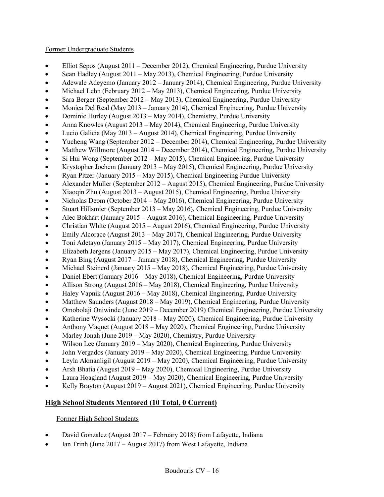#### Former Undergraduate Students

- Elliot Sepos (August 2011 December 2012), Chemical Engineering, Purdue University
- Sean Hadley (August 2011 May 2013), Chemical Engineering, Purdue University
- Adewale Adeyemo (January 2012 January 2014), Chemical Engineering, Purdue University
- Michael Lehn (February 2012 May 2013), Chemical Engineering, Purdue University
- Sara Berger (September 2012 May 2013), Chemical Engineering, Purdue University
- Monica Del Real (May 2013 January 2014), Chemical Engineering, Purdue University
- Dominic Hurley (August 2013 May 2014), Chemistry, Purdue University
- Anna Knowles (August 2013 May 2014), Chemical Engineering, Purdue University
- Lucio Galicia (May 2013 August 2014), Chemical Engineering, Purdue University
- Yucheng Wang (September 2012 December 2014), Chemical Engineering, Purdue University
- Matthew Willmore (August 2014 December 2014), Chemical Engineering, Purdue University
- Si Hui Wong (September 2012 May 2015), Chemical Engineering, Purdue University
- Krystopher Jochem (January 2013 May 2015), Chemical Engineering, Purdue University
- Ryan Pitzer (January 2015 May 2015), Chemical Engineering Purdue University
- Alexander Muller (September 2012 August 2015), Chemical Engineering, Purdue University
- Xiaoqin Zhu (August 2013 August 2015), Chemical Engineering, Purdue University
- Nicholas Deom (October 2014 May 2016), Chemical Engineering, Purdue University
- Stuart Hillsmier (September 2013 May 2016), Chemical Engineering, Purdue University
- Alec Bokhart (January 2015 August 2016), Chemical Engineering, Purdue University
- Christian White (August  $2015 -$ August 2016), Chemical Engineering, Purdue University
- Emily Alcorace (August 2013 May 2017), Chemical Engineering, Purdue University
- Toni Adetayo (January 2015 May 2017), Chemical Engineering, Purdue University
- Elizabeth Jergens (January 2015 May 2017), Chemical Engineering, Purdue University
- Ryan Bing (August 2017 January 2018), Chemical Engineering, Purdue University
- Michael Steinerd (January 2015 May 2018), Chemical Engineering, Purdue University
- Daniel Ebert (January 2016 May 2018), Chemical Engineering, Purdue University
- Allison Strong (August 2016 May 2018), Chemical Engineering, Purdue University
- Haley Vapnik (August 2016 May 2018), Chemical Engineering, Purdue University
- Matthew Saunders (August 2018 May 2019), Chemical Engineering, Purdue University
- Omobolaji Oniwinde (June 2019 December 2019) Chemical Engineering, Purdue University
- Katherine Wysocki (January 2018 May 2020), Chemical Engineering, Purdue University
- Anthony Maquet (August 2018 May 2020), Chemical Engineering, Purdue University
- Marley Jonah (June 2019 May 2020), Chemistry, Purdue University
- Wilson Lee (January 2019 May 2020), Chemical Engineering, Purdue University
- John Vergados (January 2019 May 2020), Chemical Engineering, Purdue University
- Leyla Akmanligil (August 2019 May 2020), Chemical Engineering, Purdue University
- Arsh Bhatia (August 2019 May 2020), Chemical Engineering, Purdue University
- Laura Hoagland (August 2019 May 2020), Chemical Engineering, Purdue University
- Kelly Brayton (August 2019 August 2021), Chemical Engineering, Purdue University

## **High School Students Mentored (10 Total, 0 Current)**

### Former High School Students

- David Gonzalez (August 2017 February 2018) from Lafayette, Indiana
- Ian Trinh (June 2017 August 2017) from West Lafayette, Indiana